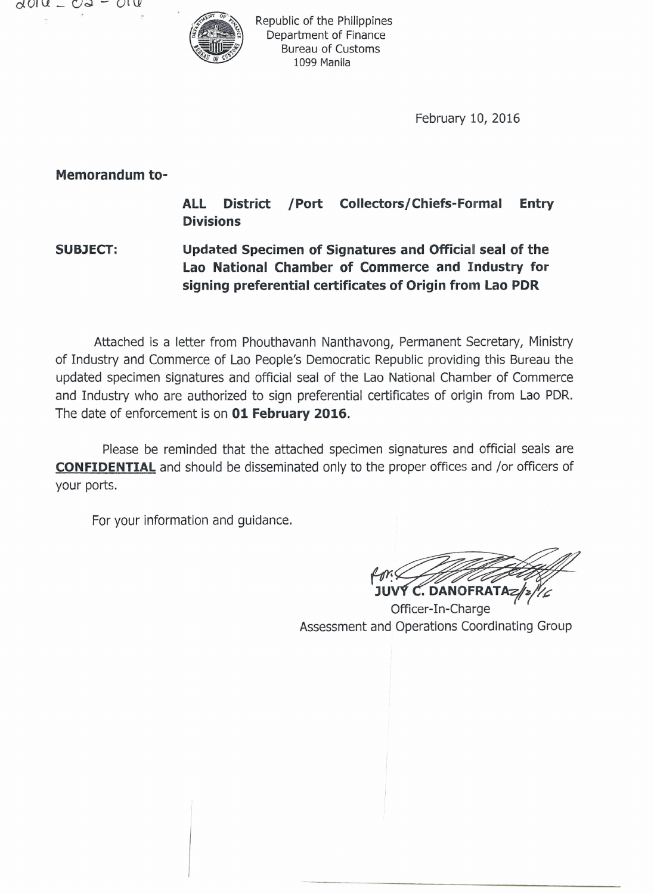*dOl* U \_ ().;) - Ol U'



Republic of the Philippines Department of Finance Bureau of Customs 1099 Manila

February 10, 2016

**Memorandum to-**

**ALL District /Port Collectors/Chiefs-Formal Entry Divisions**

**SUBJECT: Updated Specimen of Signatures and Official seal of the Lao National Chamber of Commerce and Industry for signing preferential certificates of Origin from Lao PDR**

Attached is a letter from Phouthavanh Nanthavong, Permanent Secretary, Ministry of Industry and Commerce of Lao People's Democratic Republic providing this Bureau the updated specimen signatures and official seal of the Lao National Chamber of Commerce and Industry who are authorized to sign preferential certificates of origin from Lao PDR. The date of enforcement is on **01 February 2016.**

Please be reminded that the attached specimen signatures and official seals are **CONFIDENTIAL** and should be disseminated only to the proper offices and *jor* officers of your ports.

For your information and guidance.

 $f$ dri $\swarrow$ C. DANOFRATA

Officer-In-Charge Assessment and Operations Coordinating Group